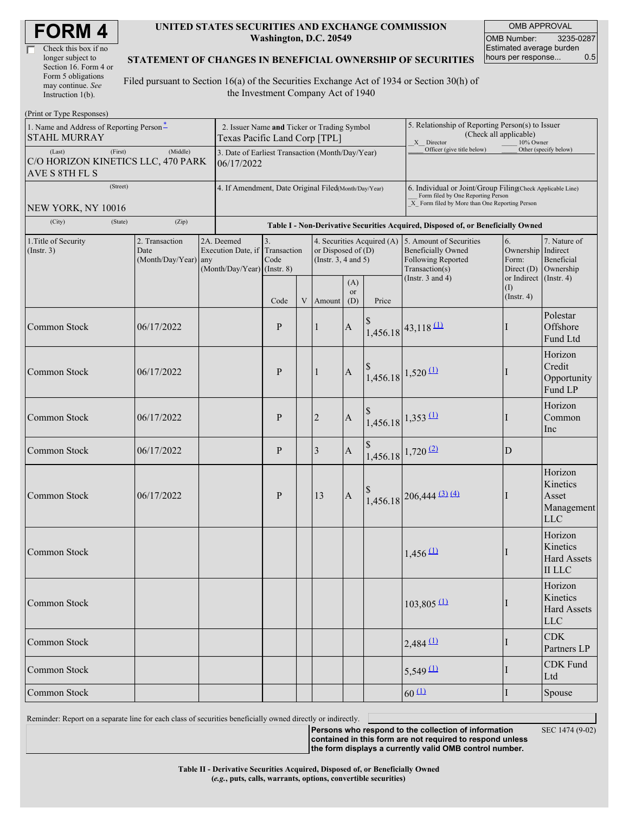| <b>FORM4</b> |  |
|--------------|--|
|--------------|--|

| Check this box if no  |
|-----------------------|
| longer subject to     |
| Section 16. Form 4 or |
| Form 5 obligations    |
| may continue. See     |
| Instruction 1(b).     |

#### **UNITED STATES SECURITIES AND EXCHANGE COMMISSION Washington, D.C. 20549**

OMB APPROVAL OMB Number: 3235-0287 Estimated average burden hours per response... 0.5

#### **STATEMENT OF CHANGES IN BENEFICIAL OWNERSHIP OF SECURITIES**

Filed pursuant to Section 16(a) of the Securities Exchange Act of 1934 or Section 30(h) of the Investment Company Act of 1940

| (Print or Type Responses)                                                   |                                                                              |                                                                               |              |             |                                                                                                               |                  |                                                                                                                                                    |                                                                                                   |                                                         |                                                                         |  |
|-----------------------------------------------------------------------------|------------------------------------------------------------------------------|-------------------------------------------------------------------------------|--------------|-------------|---------------------------------------------------------------------------------------------------------------|------------------|----------------------------------------------------------------------------------------------------------------------------------------------------|---------------------------------------------------------------------------------------------------|---------------------------------------------------------|-------------------------------------------------------------------------|--|
| 1. Name and Address of Reporting Person <sup>*</sup><br><b>STAHL MURRAY</b> | 2. Issuer Name and Ticker or Trading Symbol<br>Texas Pacific Land Corp [TPL] |                                                                               |              |             |                                                                                                               |                  | 5. Relationship of Reporting Person(s) to Issuer<br>(Check all applicable)<br>X Director<br>10% Owner                                              |                                                                                                   |                                                         |                                                                         |  |
| (First)<br>(Last)<br>C/O HORIZON KINETICS LLC, 470 PARK<br>AVE S 8TH FL S   | 3. Date of Earliest Transaction (Month/Day/Year)<br>06/17/2022               |                                                                               |              |             |                                                                                                               |                  | Officer (give title below)                                                                                                                         |                                                                                                   | Other (specify below)                                   |                                                                         |  |
| (Street)                                                                    | 4. If Amendment, Date Original Filed(Month/Day/Year)                         |                                                                               |              |             |                                                                                                               |                  | 6. Individual or Joint/Group Filing(Check Applicable Line)<br>Form filed by One Reporting Person<br>X Form filed by More than One Reporting Person |                                                                                                   |                                                         |                                                                         |  |
| NEW YORK, NY 10016<br>(City)<br>(State)                                     | (Zip)                                                                        |                                                                               |              |             |                                                                                                               |                  |                                                                                                                                                    | Table I - Non-Derivative Securities Acquired, Disposed of, or Beneficially Owned                  |                                                         |                                                                         |  |
| 1. Title of Security<br>(Insert. 3)                                         | 2. Transaction<br>Date<br>(Month/Day/Year) any                               | 2A. Deemed<br>Execution Date, if Transaction<br>$(Month/Day/Year)$ (Instr. 8) | 3.<br>Code   |             | 4. Securities Acquired (A) 5. Amount of Securities<br>or Disposed of $(D)$<br>(Instr. $3, 4$ and $5$ )<br>(A) |                  |                                                                                                                                                    | <b>Beneficially Owned</b><br><b>Following Reported</b><br>Transaction(s)<br>(Instr. $3$ and $4$ ) | 6.<br>Ownership<br>Form:<br>Direct $(D)$<br>or Indirect | 7. Nature of<br>Indirect<br>Beneficial<br>Ownership<br>$($ Instr. 4 $)$ |  |
|                                                                             |                                                                              |                                                                               | Code         | $\mathbf V$ | Amount                                                                                                        | <b>or</b><br>(D) | Price                                                                                                                                              |                                                                                                   | (I)<br>$($ Instr. 4 $)$                                 |                                                                         |  |
| <b>Common Stock</b>                                                         | 06/17/2022                                                                   |                                                                               | P            |             | $\vert$ 1                                                                                                     | $\mathbf{A}$     |                                                                                                                                                    | $1,456.18$ 43,118 (1)                                                                             |                                                         | Polestar<br>Offshore<br>Fund Ltd                                        |  |
| <b>Common Stock</b>                                                         | 06/17/2022                                                                   |                                                                               | P            |             | $\vert$ 1                                                                                                     | $\mathbf{A}$     |                                                                                                                                                    | $1,456.18$ 1,520 (1)                                                                              |                                                         | Horizon<br>Credit<br>Opportunity<br>Fund LP                             |  |
| Common Stock                                                                | 06/17/2022                                                                   |                                                                               | $\mathbf{P}$ |             | $\sqrt{2}$                                                                                                    | $\mathbf{A}$     |                                                                                                                                                    | $1,456.18$ $1,353$ $(1)$                                                                          |                                                         | Horizon<br>Common<br>Inc                                                |  |
| <b>Common Stock</b>                                                         | 06/17/2022                                                                   |                                                                               | P            |             | 3                                                                                                             | $\mathbf{A}$     |                                                                                                                                                    | $1,456.18$ 1,720 (2)                                                                              | D                                                       |                                                                         |  |
| Common Stock                                                                | 06/17/2022                                                                   |                                                                               | P            |             | 13                                                                                                            | $\mathbf{A}$     |                                                                                                                                                    | $1,456.18$ 206,444 (3) (4)                                                                        |                                                         | Horizon<br>Kinetics<br>Asset<br>Management<br><b>LLC</b>                |  |
| <b>Common Stock</b>                                                         |                                                                              |                                                                               |              |             |                                                                                                               |                  |                                                                                                                                                    | $1,456 \overline{11}$                                                                             |                                                         | Horizon<br>Kinetics<br><b>Hard Assets</b><br>$\rm II$ LLC               |  |
| Common Stock                                                                |                                                                              |                                                                               |              |             |                                                                                                               |                  |                                                                                                                                                    | $103,805$ <sup>(1)</sup>                                                                          |                                                         | Horizon<br>Kinetics<br><b>Hard Assets</b><br><b>LLC</b>                 |  |
| Common Stock                                                                |                                                                              |                                                                               |              |             |                                                                                                               |                  |                                                                                                                                                    | $2,484$ <sup>(1)</sup>                                                                            |                                                         | <b>CDK</b><br>Partners LP                                               |  |
| Common Stock                                                                |                                                                              |                                                                               |              |             |                                                                                                               |                  |                                                                                                                                                    | $5,549 \underline{11}$                                                                            |                                                         | <b>CDK</b> Fund<br>Ltd                                                  |  |
| Common Stock                                                                |                                                                              |                                                                               |              |             |                                                                                                               | $60 \text{ 11}$  | I                                                                                                                                                  | Spouse                                                                                            |                                                         |                                                                         |  |

Reminder: Report on a separate line for each class of securities beneficially owned directly or indirectly.

**Persons who respond to the collection of information**

SEC 1474 (9-02)

**contained in this form are not required to respond unless the form displays a currently valid OMB control number.**

**Table II - Derivative Securities Acquired, Disposed of, or Beneficially Owned (***e.g.***, puts, calls, warrants, options, convertible securities)**